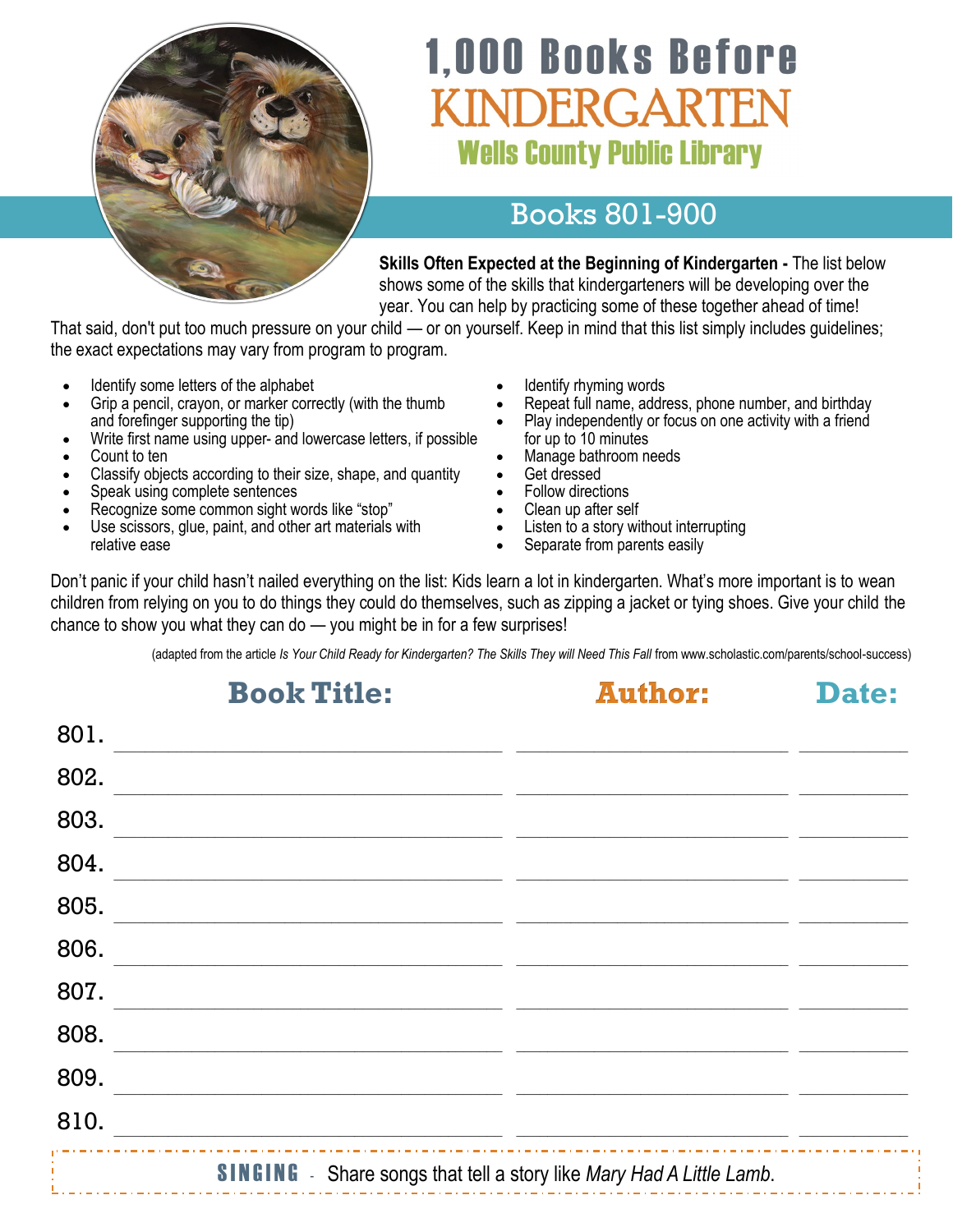

# **1,000 Books Before** INDERGARTEN **Wells County Public Library**

#### Books 801-900

**Skills Often Expected at the Beginning of Kindergarten -** The list below shows some of the skills that kindergarteners will be developing over the year. You can help by practicing some of these together ahead of time!

That said, don't put too much pressure on your child — or on yourself. Keep in mind that this list simply includes guidelines; the exact expectations may vary from program to program.

- Identify some letters of the alphabet
- Grip a pencil, crayon, or marker correctly (with the thumb and forefinger supporting the tip)
- Write first name using upper- and lowercase letters, if possible
- Count to ten
- Classify objects according to their size, shape, and quantity
- Speak using complete sentences
- Recognize some common [sight words](https://shop.scholastic.com/parent-ecommerce/books/scholastic-success-with-sight-words-9780545201124.html?esp=PAR/ib/20190709//txtl/preparing-kindergarten/success-sight-words////) like "stop"
- Use scissors, glue, paint, and other art materials with relative ease
- Identify rhyming words
- Repeat full name, address, phone number, and birthday
- Play independently or focus on one activity with a friend for up to 10 minutes
- Manage bathroom needs
- Get dressed
- Follow directions
- Clean up after self
- Listen to a story without interrupting
- Separate from parents easily

Don't panic if your child hasn't nailed everything on the list: Kids learn a lot in kindergarten. What's more important is to wean children from relying on you to do things they could do themselves, such as zipping a jacket or tying shoes. Give your child the chance to show you what they can do — you might be in for a few surprises!

(adapted from the article *Is Your Child Ready for Kindergarten? The Skills They will Need This Fall from www.scholastic.com/parents/school-success)* 

#### **Book Title: Author: Date:**

| 801.                                                                        |  |                                                            |  |
|-----------------------------------------------------------------------------|--|------------------------------------------------------------|--|
| 802.                                                                        |  |                                                            |  |
| 803.                                                                        |  |                                                            |  |
| 804.                                                                        |  |                                                            |  |
| 805.                                                                        |  |                                                            |  |
| 806.                                                                        |  |                                                            |  |
| 807.                                                                        |  |                                                            |  |
| 808.                                                                        |  |                                                            |  |
| 809.                                                                        |  |                                                            |  |
| 810.                                                                        |  | <u> 1989 - Johann Stoff, amerikansk politiker (* 1908)</u> |  |
| <b>SINGING</b> - Share songs that tell a story like Mary Had A Little Lamb. |  |                                                            |  |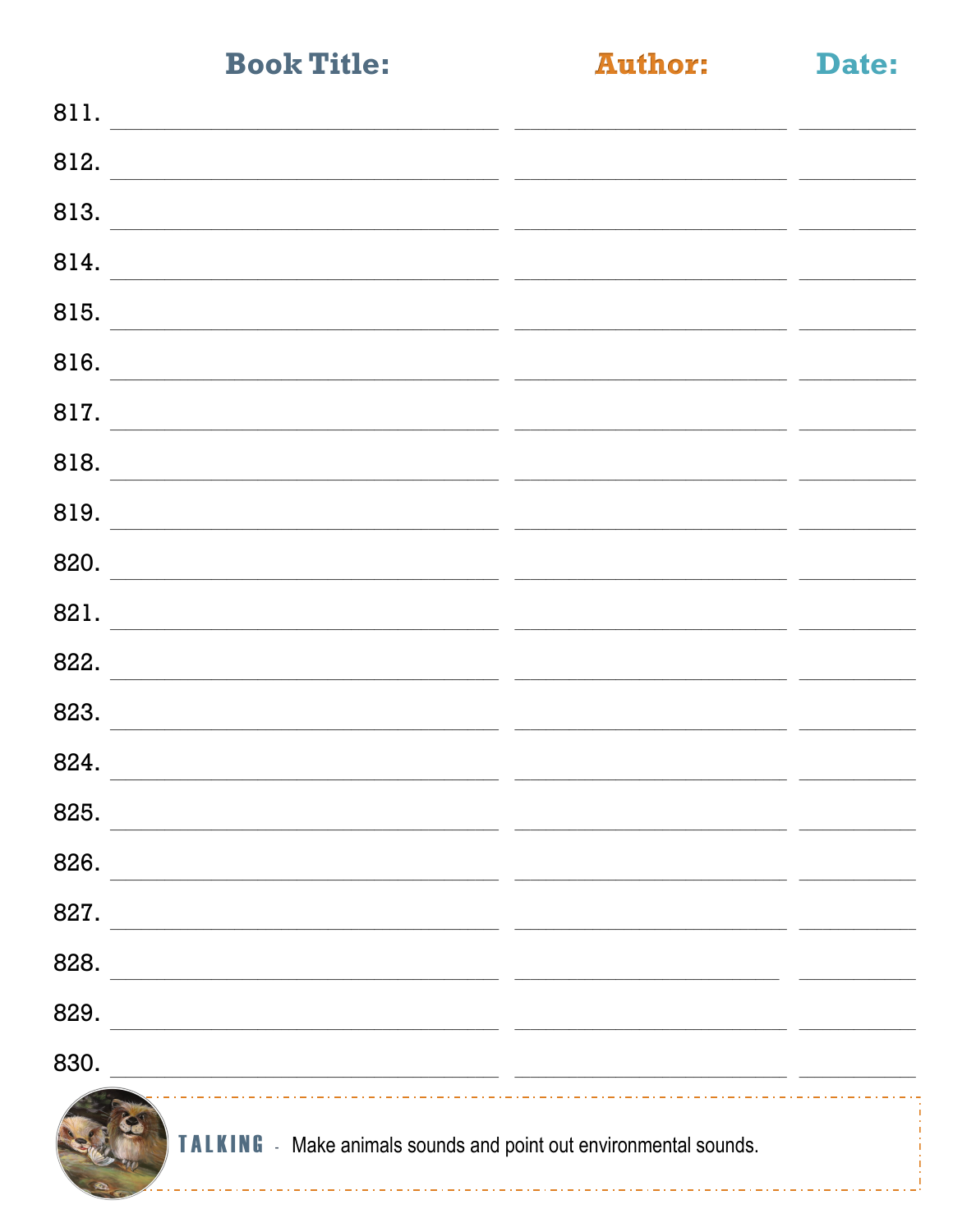**Author:** 

| 811.<br><u> 1980 - John Stein, Amerikaansk politiker (* 1900)</u>                                                            |  |
|------------------------------------------------------------------------------------------------------------------------------|--|
| 812.                                                                                                                         |  |
| 813.<br><u> 1980 - John Stein, Amerikaansk kanton (</u>                                                                      |  |
| 814.<br><u> 1989 - Johann Stoff, Amerikaansk politiker (* 1908)</u>                                                          |  |
| 815.                                                                                                                         |  |
| 816.                                                                                                                         |  |
| 817.                                                                                                                         |  |
| 818.                                                                                                                         |  |
| 819.                                                                                                                         |  |
| 820.                                                                                                                         |  |
| 821.<br><u> 1989 - Andrea San Andrea San Andrea San Andrea San Andrea San Andrea San Andrea San Andrea San Andrea San An</u> |  |
| 822.                                                                                                                         |  |
| 823.                                                                                                                         |  |
| 824.<br><u> 1990 - Johann Stoff, Amerikaansk politiker (* 1990)</u>                                                          |  |
| 825.                                                                                                                         |  |
| 826.                                                                                                                         |  |
| 827.                                                                                                                         |  |
| 828.<br><u> 1989 - Johann John Stoff, market fransk konge og det ble større og de større og de større og de større og de</u> |  |
| 829.<br><u> 1990 - Johann John Barn, mars ann an t-Amhair an t-Amhair ann an t-Amhair an t-Amhair ann an t-Amhair an t-A</u> |  |
| 830.<br><u> 1989 - Jan James James, martin de filozofoar (h. 1905).</u>                                                      |  |
| <b>TALKING</b> - Make animals sounds and point out environmental sounds.                                                     |  |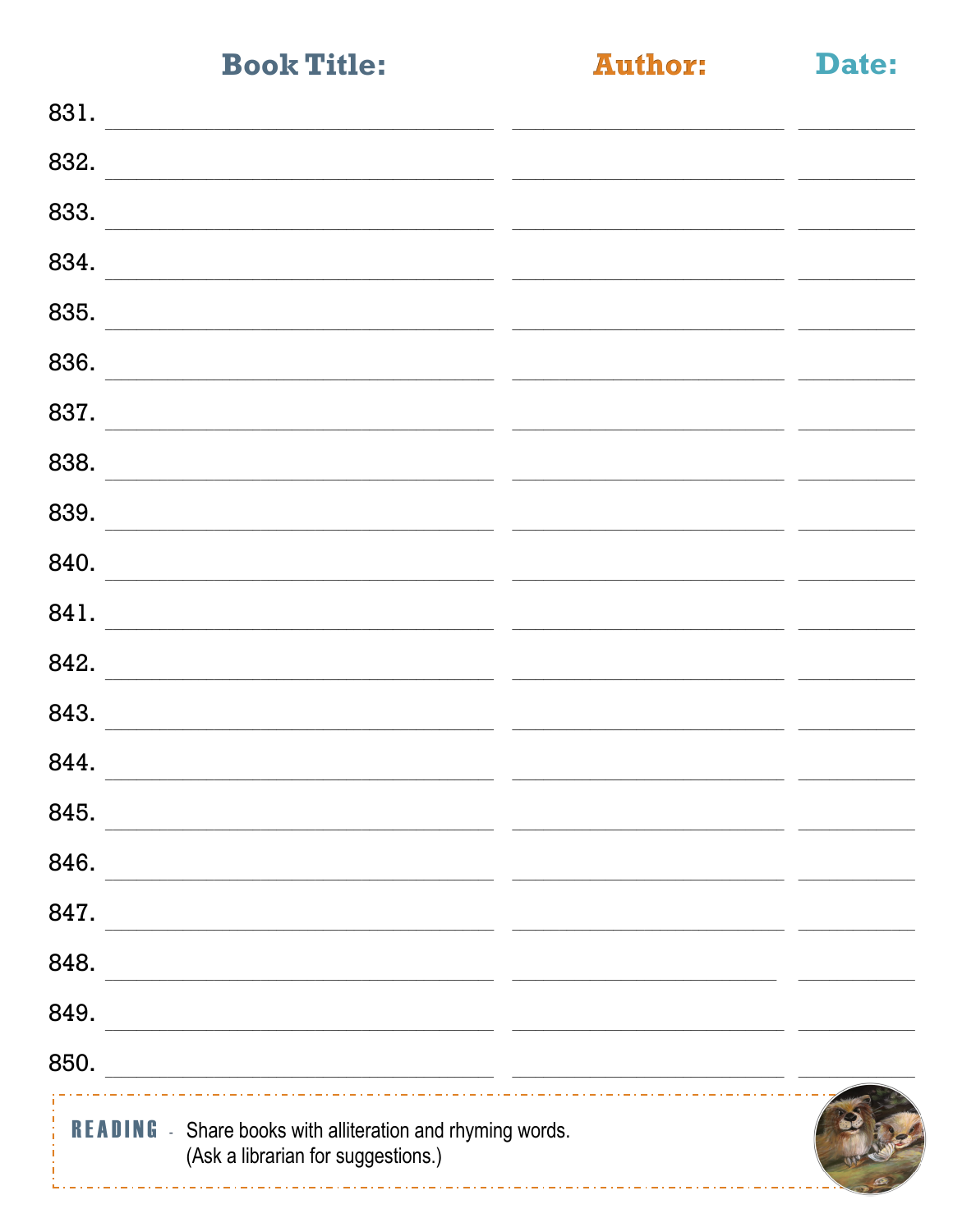**Author:** 

| 831.                                                                                                                          |  |
|-------------------------------------------------------------------------------------------------------------------------------|--|
| 832.                                                                                                                          |  |
| 833.<br><u> 1980 - John Stein, Amerikaansk politiker (</u> † 1920)                                                            |  |
| 834.                                                                                                                          |  |
| 835.<br><u> 1980 - Jan James Santan, masjid a shekara ta 1980 a shekara ta 1980 a shekara ta 1980 a shekara ta 1980 a she</u> |  |
| 836.<br><u> 1989 - Johann Stein, mars an deutscher Stein und der Stein und der Stein und der Stein und der Stein und der</u>  |  |
| 837.                                                                                                                          |  |
| 838.                                                                                                                          |  |
| 839.                                                                                                                          |  |
| 840.                                                                                                                          |  |
| 841.                                                                                                                          |  |
| 842.                                                                                                                          |  |
| 843.                                                                                                                          |  |
| 844.                                                                                                                          |  |
| 845.                                                                                                                          |  |
| 846.                                                                                                                          |  |
| 847.                                                                                                                          |  |
| 848.                                                                                                                          |  |
| 849.                                                                                                                          |  |
| 850.<br><u> 1989 - Johann Stein, Amerikaansk politiker († 1908)</u>                                                           |  |
| <b>READING</b> - Share books with alliteration and rhyming words.<br>(Ask a librarian for suggestions.)                       |  |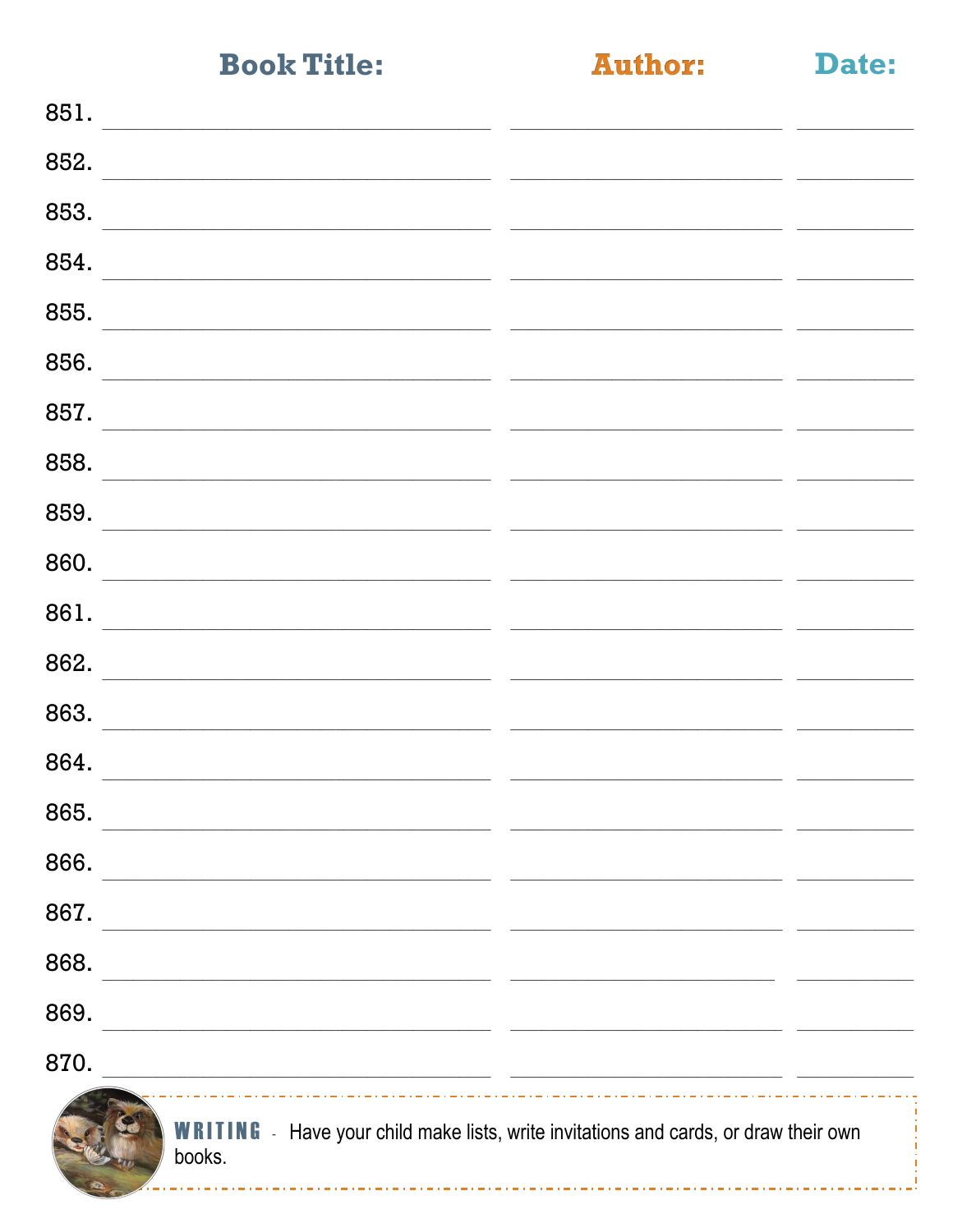**Author:** 

| 852.<br><u> 1989 - Jan James James Barnett, martin de la contrata de la contrata de la contrata de la contrata de la con</u>                                                                                                          |  |
|---------------------------------------------------------------------------------------------------------------------------------------------------------------------------------------------------------------------------------------|--|
| 853.                                                                                                                                                                                                                                  |  |
| <u> 1989 - Johann Stone, mars and de format de la propinsion de la propinsion de la propinsion de la propinsion d</u><br>854.<br><u> 1990 - Jacques Maria de Santa Alexandro (m. 1990).</u>                                           |  |
| 855.<br><u> 1999 - Johann Stone, Amerikaansk politiker (* 1908)</u>                                                                                                                                                                   |  |
| 856.<br><u> 2000 - Andrea San Andrea San Andrea San Andrea San Andrea San Andrea San Andrea San Andrea San Andrea San An</u>                                                                                                          |  |
| 857.<br><u> 1989 - Andrea Andrew Maria (h. 1989).</u><br>1900 - John Britti, fransk politik (h. 1980).                                                                                                                                |  |
| 858.<br><u> 1999 - Andrea Andrea Andrea Andrea Andrea Andrea Andrea Andrea Andrea Andrea Andrea Andrea Andrea Andrea And</u>                                                                                                          |  |
|                                                                                                                                                                                                                                       |  |
| 860.                                                                                                                                                                                                                                  |  |
| 861.                                                                                                                                                                                                                                  |  |
|                                                                                                                                                                                                                                       |  |
| 863.<br><u> 1989 - Andrea Barbara, amerikan personal di sebagai personal di sebagai personal di sebagai personal di seba</u>                                                                                                          |  |
| 864.<br><u> 1990 - Jacques Alexandro III, poeta estadounidense de la contradición de la contradición de la contradición d</u>                                                                                                         |  |
| 865.                                                                                                                                                                                                                                  |  |
| 866.<br>the contract of the contract of the contract of the contract of the contract of the contract of the contract of                                                                                                               |  |
| 867.<br><u> 1989 - Johann John Stoff, deutscher Stoffen und der Stoffen und der Stoffen und der Stoffen und der Stoffen u</u>                                                                                                         |  |
| 868.<br>and the control of the control of the control of the control of the control of the control of the control of the                                                                                                              |  |
| 869.<br>the control of the control of the control of the control of the control of the control of the control of the control of the control of the control of the control of the control of the control of the control of the control |  |
| 870.<br><u> 2000 - Andrea San Andrea San Andrea San Andrea San Andrea San Andrea San Andrea San Andrea San Andrea San An</u>                                                                                                          |  |
| <b>WRITING</b> - Have your child make lists, write invitations and cards, or draw their own<br>books.                                                                                                                                 |  |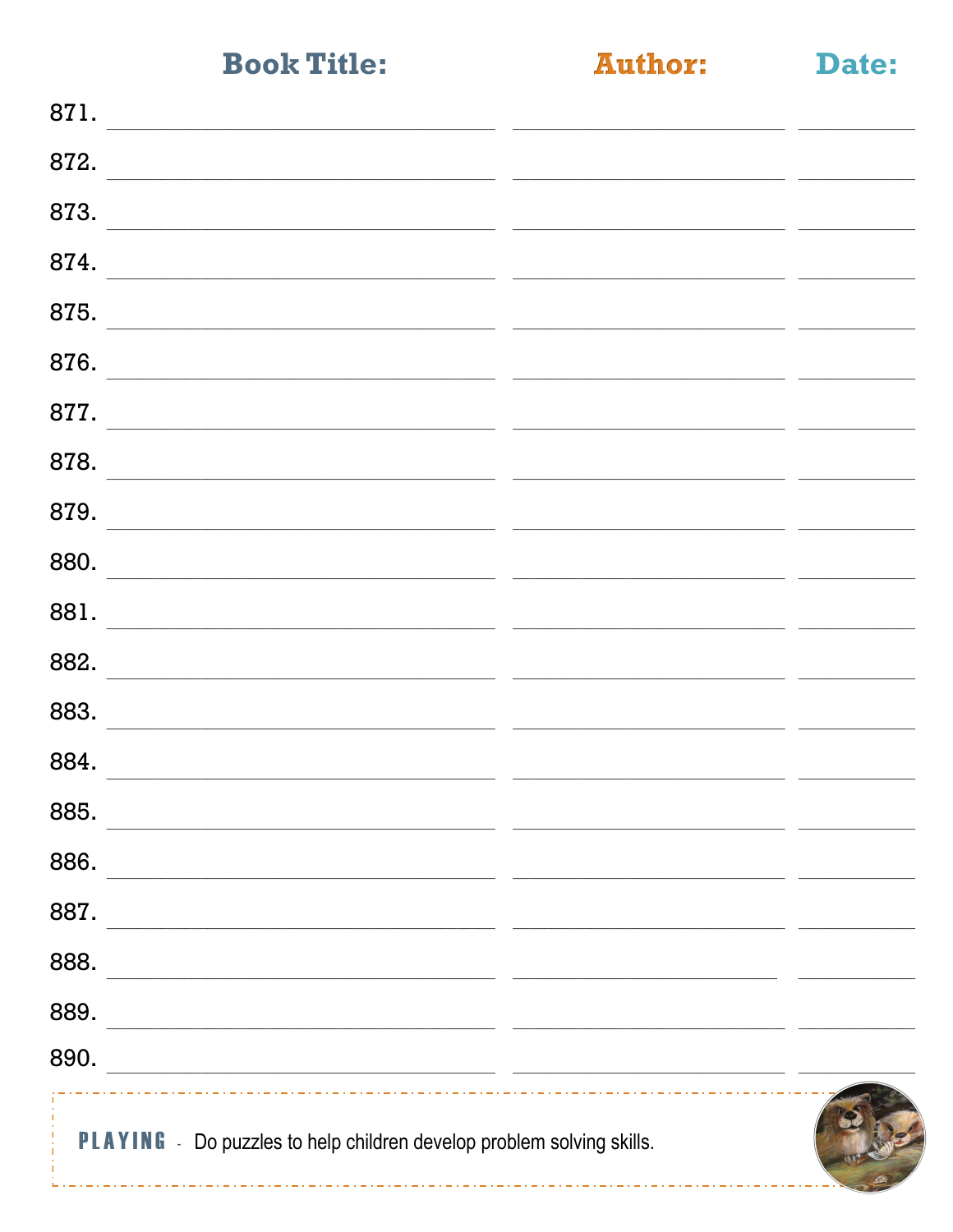**Author:** 

| 871.                                                                                                                          |  |
|-------------------------------------------------------------------------------------------------------------------------------|--|
| 872.                                                                                                                          |  |
| 873.<br>the control of the control of the control of the control of the control of the control of                             |  |
| 874.<br><u> 1980 - John Stone, Amerikaansk politiker (* 1900)</u>                                                             |  |
| 875.                                                                                                                          |  |
| 876.                                                                                                                          |  |
| 877.                                                                                                                          |  |
| 878.                                                                                                                          |  |
| 879.                                                                                                                          |  |
| 880.                                                                                                                          |  |
| 881.                                                                                                                          |  |
| 882.                                                                                                                          |  |
| 883.                                                                                                                          |  |
| 884.                                                                                                                          |  |
| 885.                                                                                                                          |  |
| 886.                                                                                                                          |  |
| 887.                                                                                                                          |  |
| 888.                                                                                                                          |  |
| 889.<br><u> 1989 - Johann Harry Barn, mars and de Branch and de Branch and de Branch and de Branch and de Branch and de B</u> |  |
| 890.                                                                                                                          |  |
| <b>PLAYING</b> - Do puzzles to help children develop problem solving skills.                                                  |  |